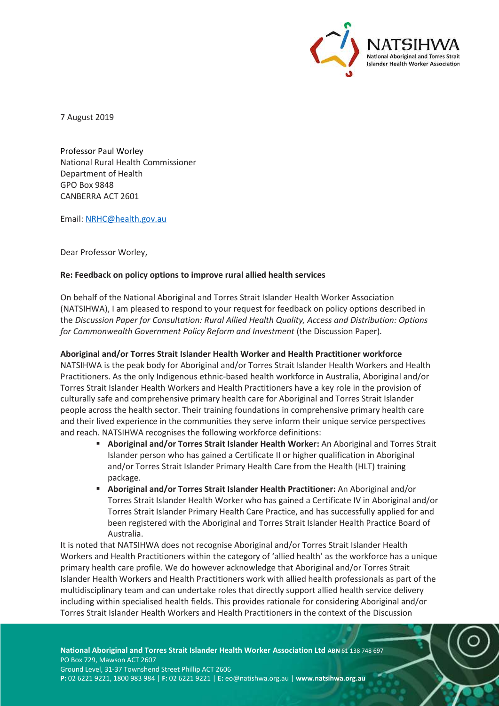

7 August 2019

Professor Paul Worley National Rural Health Commissioner Department of Health GPO Box 9848 CANBERRA ACT 2601

Email: NRHC@health.gov.au

Dear Professor Worley,

## **Re: Feedback on policy options to improve rural allied health services**

On behalf of the National Aboriginal and Torres Strait Islander Health Worker Association (NATSIHWA), I am pleased to respond to your request for feedback on policy options described in the *Discussion Paper for Consultation: Rural Allied Health Quality, Access and Distribution: Options for Commonwealth Government Policy Reform and Investment* (the Discussion Paper)*.*

**Aboriginal and/or Torres Strait Islander Health Worker and Health Practitioner workforce** NATSIHWA is the peak body for Aboriginal and/or Torres Strait Islander Health Workers and Health Practitioners. As the only Indigenous ethnic-based health workforce in Australia, Aboriginal and/or Torres Strait Islander Health Workers and Health Practitioners have a key role in the provision of culturally safe and comprehensive primary health care for Aboriginal and Torres Strait Islander people across the health sector. Their training foundations in comprehensive primary health care and their lived experience in the communities they serve inform their unique service perspectives and reach. NATSIHWA recognises the following workforce definitions:

- **Aboriginal and/or Torres Strait Islander Health Worker:** An Aboriginal and Torres Strait Islander person who has gained a Certificate II or higher qualification in Aboriginal and/or Torres Strait Islander Primary Health Care from the Health (HLT) training package.
- **Aboriginal and/or Torres Strait Islander Health Practitioner:** An Aboriginal and/or Torres Strait Islander Health Worker who has gained a Certificate IV in Aboriginal and/or Torres Strait Islander Primary Health Care Practice, and has successfully applied for and been registered with the Aboriginal and Torres Strait Islander Health Practice Board of Australia.

It is noted that NATSIHWA does not recognise Aboriginal and/or Torres Strait Islander Health Workers and Health Practitioners within the category of 'allied health' as the workforce has a unique primary health care profile. We do however acknowledge that Aboriginal and/or Torres Strait Islander Health Workers and Health Practitioners work with allied health professionals as part of the multidisciplinary team and can undertake roles that directly support allied health service delivery including within specialised health fields. This provides rationale for considering Aboriginal and/or Torres Strait Islander Health Workers and Health Practitioners in the context of the Discussion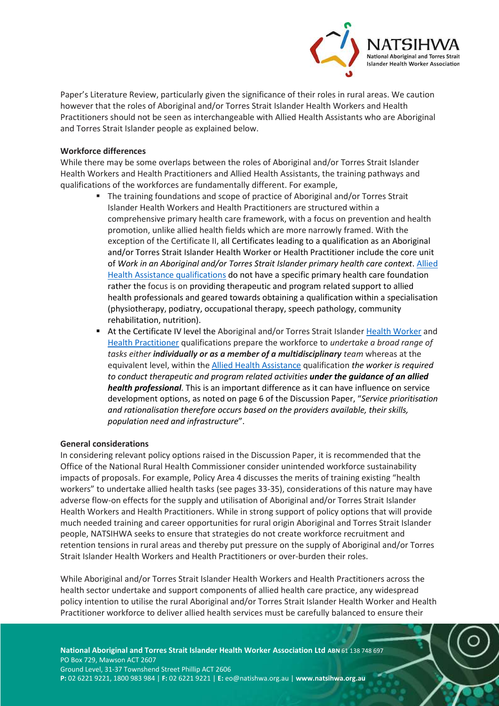

Paper's Literature Review, particularly given the significance of their roles in rural areas. We caution however that the roles of Aboriginal and/or Torres Strait Islander Health Workers and Health Practitioners should not be seen as interchangeable with Allied Health Assistants who are Aboriginal and Torres Strait Islander people as explained below.

## **Workforce differences**

While there may be some overlaps between the roles of Aboriginal and/or Torres Strait Islander Health Workers and Health Practitioners and Allied Health Assistants, the training pathways and qualifications of the workforces are fundamentally different. For example,

- The training foundations and scope of practice of Aboriginal and/or Torres Strait Islander Health Workers and Health Practitioners are structured within a comprehensive primary health care framework, with a focus on prevention and health promotion, unlike allied health fields which are more narrowly framed. With the exception of the Certificate II, all Certificates leading to a qualification as an Aboriginal and/or Torres Strait Islander Health Worker or Health Practitioner include the core unit of *Work in an Aboriginal and/or Torres Strait Islander primary health care context*. [Allied](https://training.gov.au/TrainingComponentFiles/HLT/HLT43015_R2.pdf)  [Health Assistance qualifications](https://training.gov.au/TrainingComponentFiles/HLT/HLT43015_R2.pdf) do not have a specific primary health care foundation rather the focus is on providing therapeutic and program related support to allied health professionals and geared towards obtaining a qualification within a specialisation (physiotherapy, podiatry, occupational therapy, speech pathology, community rehabilitation, nutrition).
- At the Certificate IV level the Aboriginal and/or Torres Strait Islander [Health Worker](https://training.gov.au/Training/Details/HLT40113) and [Health Practitioner](https://training.gov.au/Training/Details/HLT40213) qualifications prepare the workforce to *undertake a broad range of tasks either individually or as a member of a multidisciplinary team* whereas at the equivalent level, within th[e Allied Health Assistance](https://training.gov.au/Training/Details/HLT43015) qualification *the worker is required to conduct therapeutic and program related activities under the guidance of an allied health professional.* This is an important difference as it can have influence on service development options, as noted on page 6 of the Discussion Paper, "*Service prioritisation and rationalisation therefore occurs based on the providers available, their skills, population need and infrastructure*".

## **General considerations**

In considering relevant policy options raised in the Discussion Paper, it is recommended that the Office of the National Rural Health Commissioner consider unintended workforce sustainability impacts of proposals. For example, Policy Area 4 discusses the merits of training existing "health workers" to undertake allied health tasks (see pages 33-35), considerations of this nature may have adverse flow-on effects for the supply and utilisation of Aboriginal and/or Torres Strait Islander Health Workers and Health Practitioners. While in strong support of policy options that will provide much needed training and career opportunities for rural origin Aboriginal and Torres Strait Islander people, NATSIHWA seeks to ensure that strategies do not create workforce recruitment and retention tensions in rural areas and thereby put pressure on the supply of Aboriginal and/or Torres Strait Islander Health Workers and Health Practitioners or over-burden their roles.

While Aboriginal and/or Torres Strait Islander Health Workers and Health Practitioners across the health sector undertake and support components of allied health care practice, any widespread policy intention to utilise the rural Aboriginal and/or Torres Strait Islander Health Worker and Health Practitioner workforce to deliver allied health services must be carefully balanced to ensure their

**National Aboriginal and Torres Strait Islander Health Worker Association Ltd ABN** 61 138 748 697 PO Box 729, Mawson ACT 2607 Ground Level, 31-37 Townshend Street Phillip ACT 2606 **P:** 02 6221 9221, 1800 983 984 | **F:** 02 6221 9221 | **E:** eo@natishwa.org.au | **www.natsihwa.org.au**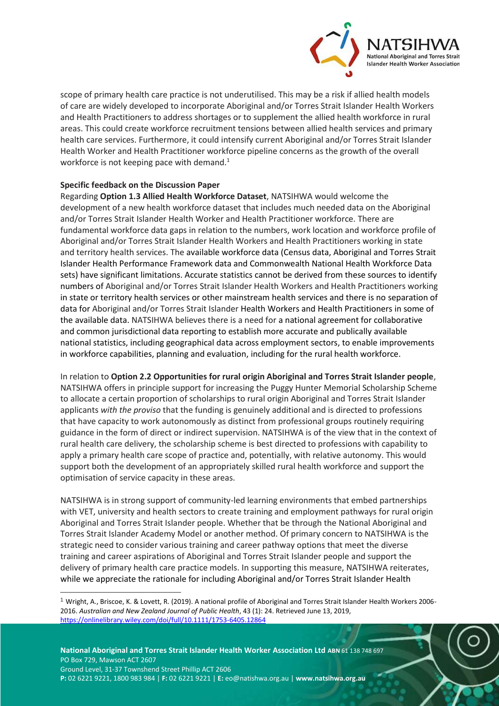

scope of primary health care practice is not underutilised. This may be a risk if allied health models of care are widely developed to incorporate Aboriginal and/or Torres Strait Islander Health Workers and Health Practitioners to address shortages or to supplement the allied health workforce in rural areas. This could create workforce recruitment tensions between allied health services and primary health care services. Furthermore, it could intensify current Aboriginal and/or Torres Strait Islander Health Worker and Health Practitioner workforce pipeline concerns as the growth of the overall workforce is not keeping pace with demand.<sup>1</sup>

## **Specific feedback on the Discussion Paper**

-

Regarding **Option 1.3 Allied Health Workforce Dataset**, NATSIHWA would welcome the development of a new health workforce dataset that includes much needed data on the Aboriginal and/or Torres Strait Islander Health Worker and Health Practitioner workforce. There are fundamental workforce data gaps in relation to the numbers, work location and workforce profile of Aboriginal and/or Torres Strait Islander Health Workers and Health Practitioners working in state and territory health services. The available workforce data (Census data, Aboriginal and Torres Strait Islander Health Performance Framework data and Commonwealth National Health Workforce Data sets) have significant limitations. Accurate statistics cannot be derived from these sources to identify numbers of Aboriginal and/or Torres Strait Islander Health Workers and Health Practitioners working in state or territory health services or other mainstream health services and there is no separation of data for Aboriginal and/or Torres Strait Islander Health Workers and Health Practitioners in some of the available data. NATSIHWA believes there is a need for a national agreement for collaborative and common jurisdictional data reporting to establish more accurate and publically available national statistics, including geographical data across employment sectors, to enable improvements in workforce capabilities, planning and evaluation, including for the rural health workforce.

In relation to **Option 2.2 Opportunities for rural origin Aboriginal and Torres Strait Islander people**, NATSIHWA offers in principle support for increasing the Puggy Hunter Memorial Scholarship Scheme to allocate a certain proportion of scholarships to rural origin Aboriginal and Torres Strait Islander applicants *with the proviso* that the funding is genuinely additional and is directed to professions that have capacity to work autonomously as distinct from professional groups routinely requiring guidance in the form of direct or indirect supervision. NATSIHWA is of the view that in the context of rural health care delivery, the scholarship scheme is best directed to professions with capability to apply a primary health care scope of practice and, potentially, with relative autonomy. This would support both the development of an appropriately skilled rural health workforce and support the optimisation of service capacity in these areas.

NATSIHWA is in strong support of community-led learning environments that embed partnerships with VET, university and health sectors to create training and employment pathways for rural origin Aboriginal and Torres Strait Islander people. Whether that be through the National Aboriginal and Torres Strait Islander Academy Model or another method. Of primary concern to NATSIHWA is the strategic need to consider various training and career pathway options that meet the diverse training and career aspirations of Aboriginal and Torres Strait Islander people and support the delivery of primary health care practice models. In supporting this measure, NATSIHWA reiterates, while we appreciate the rationale for including Aboriginal and/or Torres Strait Islander Health

 $1$  Wright, A., Briscoe, K. & Lovett, R. (2019). A national profile of Aboriginal and Torres Strait Islander Health Workers 2006-2016. *Australian and New Zealand Journal of Public Health*, 43 (1): 24. Retrieved June 13, 2019, <https://onlinelibrary.wiley.com/doi/full/10.1111/1753-6405.12864>